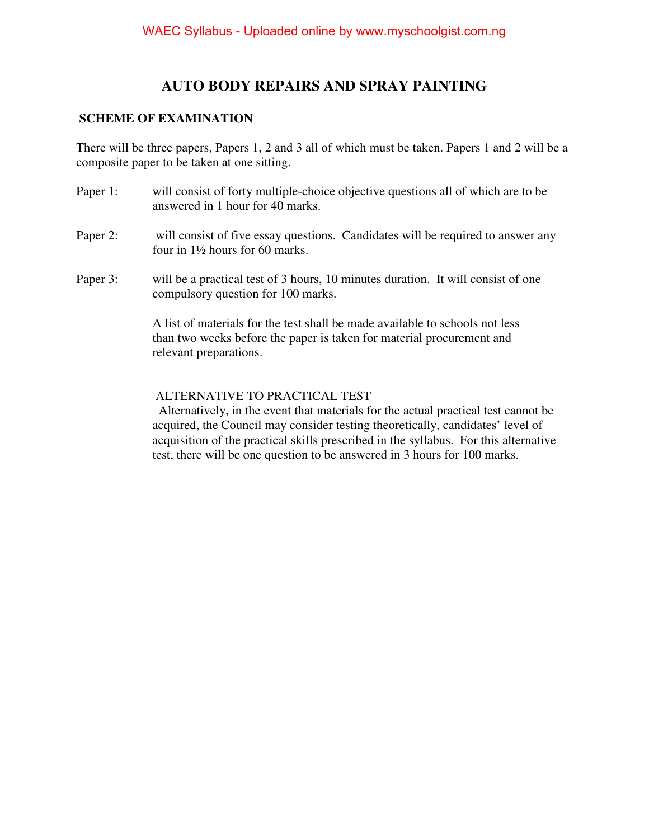#### **AUTO BODY REPAIRS AND SPRAY PAINTING**

#### **SCHEME OF EXAMINATION**

There will be three papers, Papers 1, 2 and 3 all of which must be taken. Papers 1 and 2 will be a composite paper to be taken at one sitting.

- Paper 1: will consist of forty multiple-choice objective questions all of which are to be answered in 1 hour for 40 marks.
- Paper 2: will consist of five essay questions. Candidates will be required to answer any four in 1½ hours for 60 marks.
- Paper 3: will be a practical test of 3 hours, 10 minutes duration. It will consist of one compulsory question for 100 marks.

A list of materials for the test shall be made available to schools not less than two weeks before the paper is taken for material procurement and relevant preparations.

#### ALTERNATIVE TO PRACTICAL TEST

 Alternatively, in the event that materials for the actual practical test cannot be acquired, the Council may consider testing theoretically, candidates' level of acquisition of the practical skills prescribed in the syllabus. For this alternative test, there will be one question to be answered in 3 hours for 100 marks.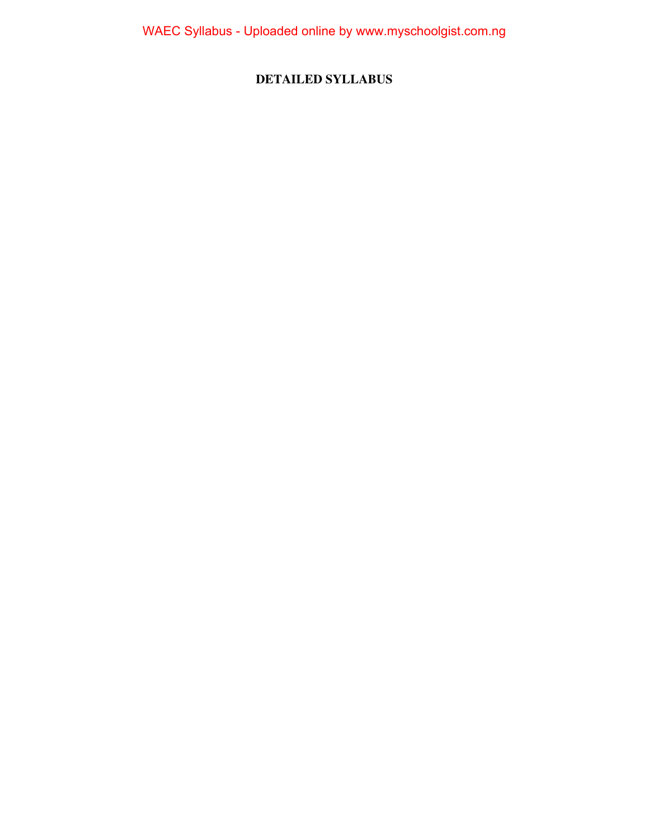## **DETAILED SYLLABUS**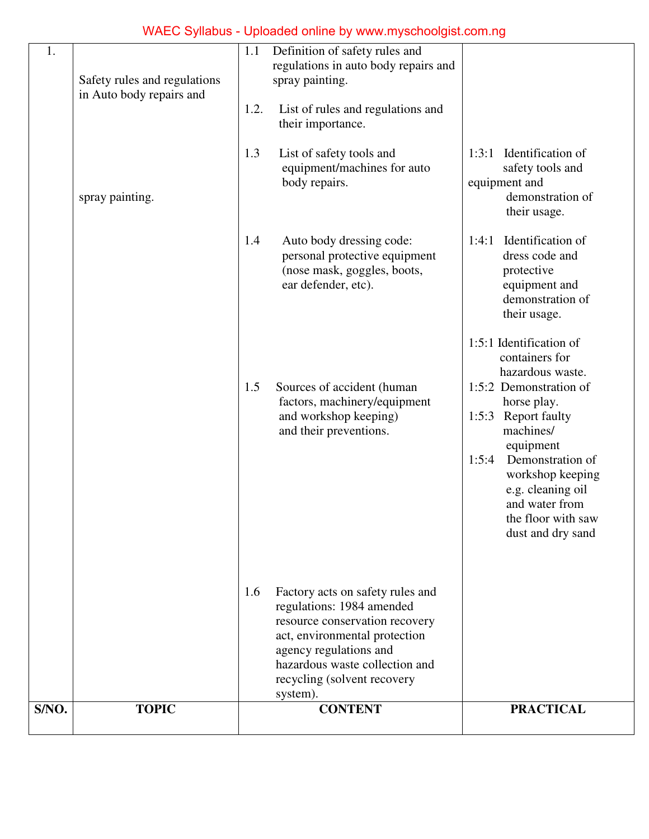| <b>TOPIC</b>                 |      | <b>CONTENT</b>                                                                                                                                                                                                                          |       | <b>PRACTICAL</b>                                                                                                                                                                                                                                                                  |  |
|------------------------------|------|-----------------------------------------------------------------------------------------------------------------------------------------------------------------------------------------------------------------------------------------|-------|-----------------------------------------------------------------------------------------------------------------------------------------------------------------------------------------------------------------------------------------------------------------------------------|--|
|                              | 1.6  | Factory acts on safety rules and<br>regulations: 1984 amended<br>resource conservation recovery<br>act, environmental protection<br>agency regulations and<br>hazardous waste collection and<br>recycling (solvent recovery<br>system). |       |                                                                                                                                                                                                                                                                                   |  |
|                              | 1.5  | Sources of accident (human<br>factors, machinery/equipment<br>and workshop keeping)<br>and their preventions.                                                                                                                           | 1:5:4 | 1:5:1 Identification of<br>containers for<br>hazardous waste.<br>1:5:2 Demonstration of<br>horse play.<br>1:5:3 Report faulty<br>machines/<br>equipment<br>Demonstration of<br>workshop keeping<br>e.g. cleaning oil<br>and water from<br>the floor with saw<br>dust and dry sand |  |
|                              | 1.4  | Auto body dressing code:<br>personal protective equipment<br>(nose mask, goggles, boots,<br>ear defender, etc).                                                                                                                         | 1:4:1 | Identification of<br>dress code and<br>protective<br>equipment and<br>demonstration of<br>their usage.                                                                                                                                                                            |  |
| spray painting.              | 1.3  | List of safety tools and<br>equipment/machines for auto<br>body repairs.                                                                                                                                                                | 1:3:1 | Identification of<br>safety tools and<br>equipment and<br>demonstration of<br>their usage.                                                                                                                                                                                        |  |
| in Auto body repairs and     | 1.2. | List of rules and regulations and<br>their importance.                                                                                                                                                                                  |       |                                                                                                                                                                                                                                                                                   |  |
| Safety rules and regulations | 1.1  | Definition of safety rules and<br>regulations in auto body repairs and<br>spray painting.                                                                                                                                               |       |                                                                                                                                                                                                                                                                                   |  |
|                              |      |                                                                                                                                                                                                                                         |       |                                                                                                                                                                                                                                                                                   |  |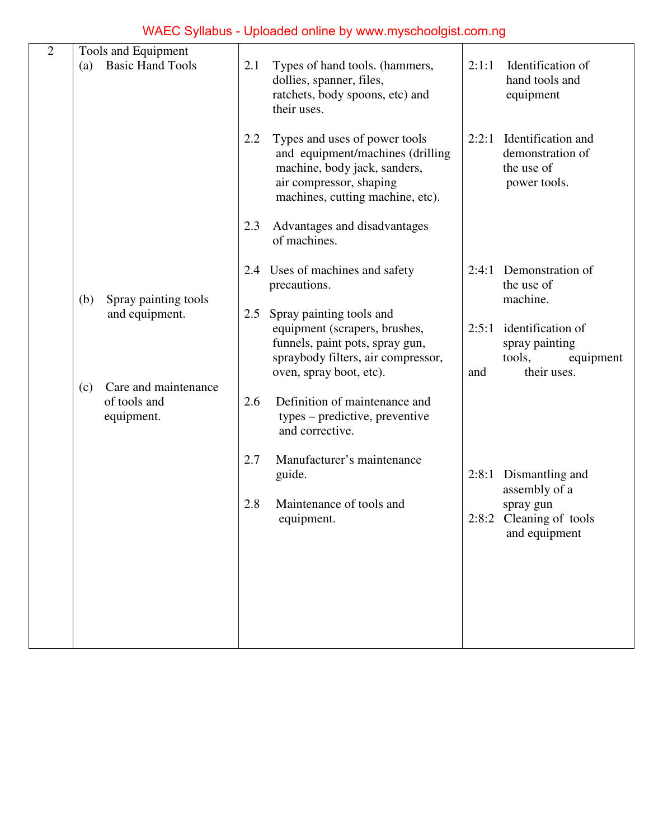# WAEC Syllabus - Uploaded online by www.myschoolgist.com.ng<br>Coujoment

| $\overline{2}$ | Tools and Equipment                                       |     |                                                                                                                                                                  |       |                                                                                 |
|----------------|-----------------------------------------------------------|-----|------------------------------------------------------------------------------------------------------------------------------------------------------------------|-------|---------------------------------------------------------------------------------|
|                | <b>Basic Hand Tools</b><br>(a)                            | 2.1 | Types of hand tools. (hammers,<br>dollies, spanner, files,<br>ratchets, body spoons, etc) and<br>their uses.                                                     | 2:1:1 | Identification of<br>hand tools and<br>equipment                                |
|                |                                                           | 2.2 | Types and uses of power tools<br>and equipment/machines (drilling<br>machine, body jack, sanders,<br>air compressor, shaping<br>machines, cutting machine, etc). |       | 2:2:1 Identification and<br>demonstration of<br>the use of<br>power tools.      |
|                |                                                           | 2.3 | Advantages and disadvantages<br>of machines.                                                                                                                     |       |                                                                                 |
|                | (b)<br>Spray painting tools                               |     | 2.4 Uses of machines and safety<br>precautions.                                                                                                                  |       | 2:4:1 Demonstration of<br>the use of<br>machine.                                |
|                | and equipment.                                            | 2.5 | Spray painting tools and                                                                                                                                         |       |                                                                                 |
|                |                                                           |     | equipment (scrapers, brushes,<br>funnels, paint pots, spray gun,<br>spraybody filters, air compressor,<br>oven, spray boot, etc).                                | and   | 2:5:1 identification of<br>spray painting<br>tools,<br>equipment<br>their uses. |
|                | Care and maintenance<br>(c)<br>of tools and<br>equipment. | 2.6 | Definition of maintenance and<br>types – predictive, preventive<br>and corrective.                                                                               |       |                                                                                 |
|                |                                                           | 2.7 | Manufacturer's maintenance<br>guide.                                                                                                                             |       | 2:8:1 Dismantling and<br>assembly of a                                          |
|                |                                                           | 2.8 | Maintenance of tools and<br>equipment.                                                                                                                           |       | spray gun<br>2:8:2 Cleaning of tools<br>and equipment                           |
|                |                                                           |     |                                                                                                                                                                  |       |                                                                                 |
|                |                                                           |     |                                                                                                                                                                  |       |                                                                                 |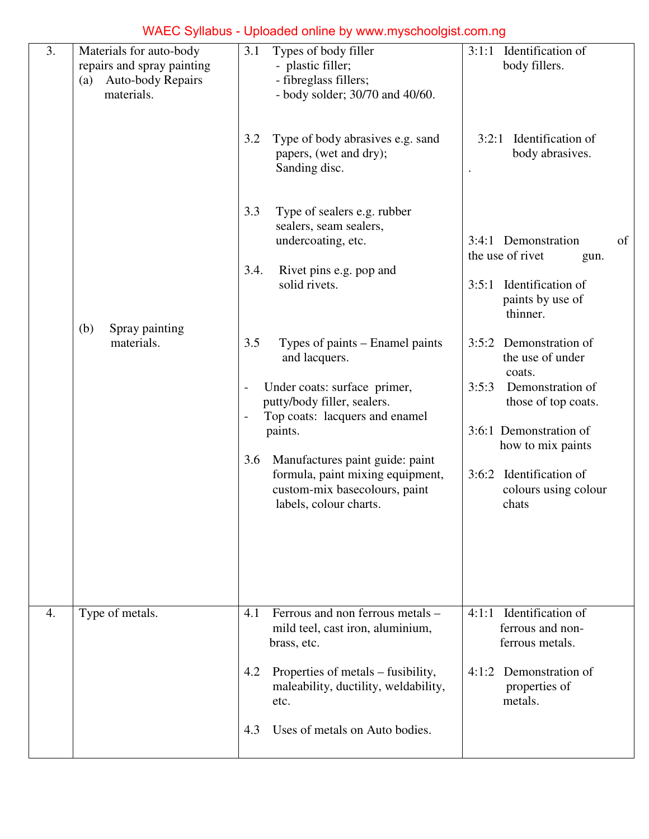| 3. | Materials for auto-body<br>repairs and spray painting<br><b>Auto-body Repairs</b><br>(a)<br>materials.<br>Spray painting<br>(b)<br>materials. | Types of body filler<br>3.1<br>- plastic filler;<br>- fibreglass fillers;<br>- body solder; 30/70 and 40/60.<br>3.2<br>Type of body abrasives e.g. sand<br>papers, (wet and dry);<br>Sanding disc.<br>3.3<br>Type of sealers e.g. rubber<br>sealers, seam sealers,<br>undercoating, etc.<br>Rivet pins e.g. pop and<br>3.4.<br>solid rivets.<br>3.5<br>Types of paints – Enamel paints<br>and lacquers.<br>Under coats: surface primer,<br>$\overline{\phantom{m}}$<br>putty/body filler, sealers.<br>Top coats: lacquers and enamel<br>$\overline{a}$<br>paints.<br>Manufactures paint guide: paint<br>3.6<br>formula, paint mixing equipment,<br>custom-mix basecolours, paint<br>labels, colour charts. | Identification of<br>3:1:1<br>body fillers.<br>Identification of<br>3:2:1<br>body abrasives.<br>3:4:1 Demonstration<br>of<br>the use of rivet<br>gun.<br>Identification of<br>3:5:1<br>paints by use of<br>thinner.<br>3:5:2 Demonstration of<br>the use of under<br>coats.<br>3:5:3<br>Demonstration of<br>those of top coats.<br>3:6:1 Demonstration of<br>how to mix paints<br>Identification of<br>3:6:2<br>colours using colour<br>chats |
|----|-----------------------------------------------------------------------------------------------------------------------------------------------|------------------------------------------------------------------------------------------------------------------------------------------------------------------------------------------------------------------------------------------------------------------------------------------------------------------------------------------------------------------------------------------------------------------------------------------------------------------------------------------------------------------------------------------------------------------------------------------------------------------------------------------------------------------------------------------------------------|-----------------------------------------------------------------------------------------------------------------------------------------------------------------------------------------------------------------------------------------------------------------------------------------------------------------------------------------------------------------------------------------------------------------------------------------------|
| 4. | Type of metals.                                                                                                                               | Ferrous and non ferrous metals –<br>4.1<br>mild teel, cast iron, aluminium,<br>brass, etc.<br>Properties of metals – fusibility,<br>4.2<br>maleability, ductility, weldability,<br>etc.<br>Uses of metals on Auto bodies.<br>4.3                                                                                                                                                                                                                                                                                                                                                                                                                                                                           | Identification of<br>4:1:1<br>ferrous and non-<br>ferrous metals.<br>4:1:2<br>Demonstration of<br>properties of<br>metals.                                                                                                                                                                                                                                                                                                                    |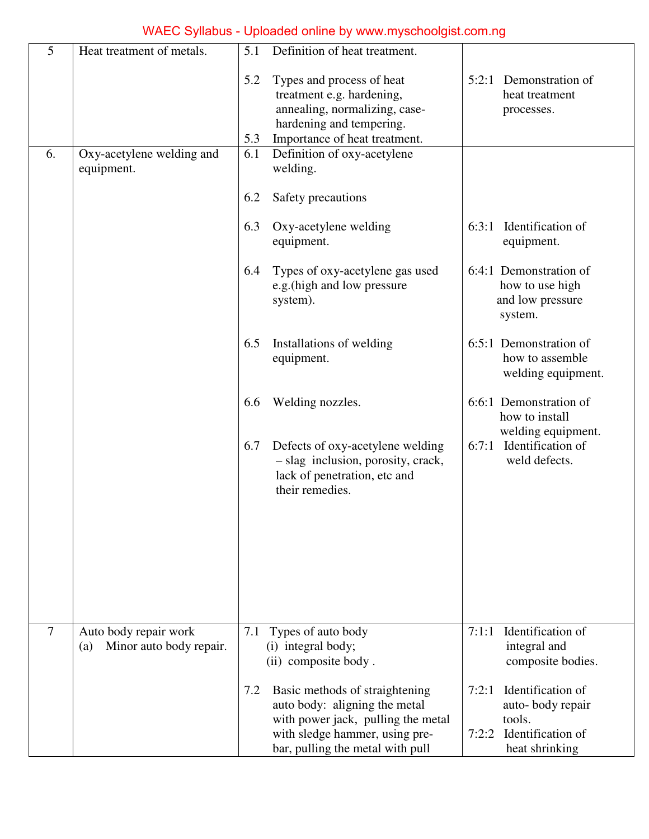| 5  | Heat treatment of metals.                               | Definition of heat treatment.<br>5.1                                                                                                                                               |                                                                                                          |
|----|---------------------------------------------------------|------------------------------------------------------------------------------------------------------------------------------------------------------------------------------------|----------------------------------------------------------------------------------------------------------|
|    |                                                         | 5.2<br>Types and process of heat<br>treatment e.g. hardening,<br>annealing, normalizing, case-<br>hardening and tempering.<br>Importance of heat treatment.<br>5.3                 | Demonstration of<br>5:2:1<br>heat treatment<br>processes.                                                |
| 6. | Oxy-acetylene welding and<br>equipment.                 | Definition of oxy-acetylene<br>6.1<br>welding.                                                                                                                                     |                                                                                                          |
|    |                                                         | Safety precautions<br>6.2                                                                                                                                                          |                                                                                                          |
|    |                                                         | 6.3<br>Oxy-acetylene welding<br>equipment.                                                                                                                                         | 6:3:1 Identification of<br>equipment.                                                                    |
|    |                                                         | Types of oxy-acetylene gas used<br>6.4<br>e.g. (high and low pressure<br>system).                                                                                                  | 6:4:1 Demonstration of<br>how to use high<br>and low pressure<br>system.                                 |
|    |                                                         | 6.5<br>Installations of welding<br>equipment.                                                                                                                                      | 6:5:1 Demonstration of<br>how to assemble<br>welding equipment.                                          |
|    |                                                         | Welding nozzles.<br>6.6                                                                                                                                                            | 6:6:1 Demonstration of<br>how to install<br>welding equipment.                                           |
|    |                                                         | 6.7<br>Defects of oxy-acetylene welding<br>- slag inclusion, porosity, crack,<br>lack of penetration, etc and<br>their remedies.                                                   | Identification of<br>6:7:1<br>weld defects.                                                              |
|    |                                                         |                                                                                                                                                                                    |                                                                                                          |
|    |                                                         |                                                                                                                                                                                    |                                                                                                          |
| 7  | Auto body repair work<br>Minor auto body repair.<br>(a) | 7.1<br>Types of auto body<br>(i) integral body;<br>(ii) composite body.                                                                                                            | Identification of<br>7:1:1<br>integral and<br>composite bodies.                                          |
|    |                                                         | 7.2<br>Basic methods of straightening<br>auto body: aligning the metal<br>with power jack, pulling the metal<br>with sledge hammer, using pre-<br>bar, pulling the metal with pull | Identification of<br>7:2:1<br>auto-body repair<br>tools.<br>7:2:2<br>Identification of<br>heat shrinking |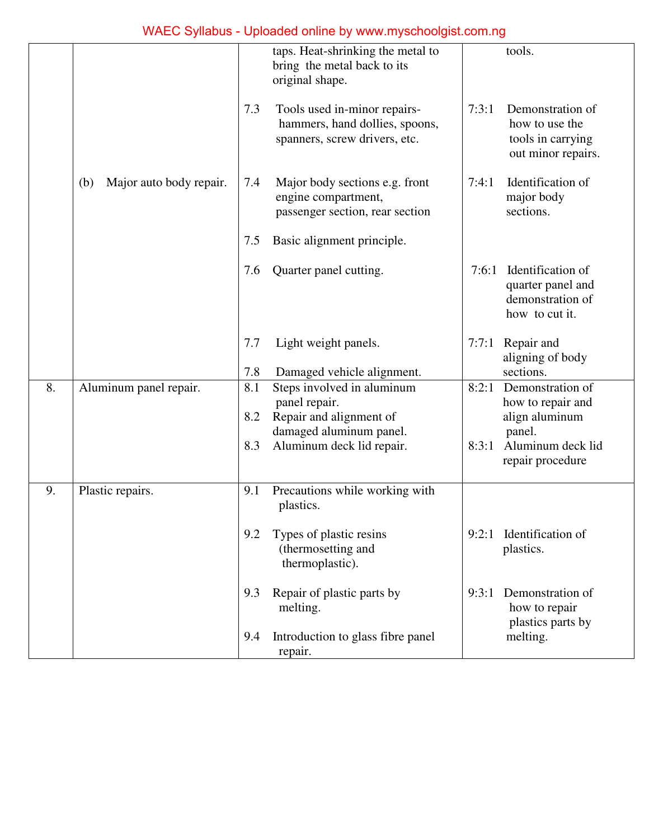|    |                                |            | taps. Heat-shrinking the metal to<br>bring the metal back to its<br>original shape.             |       | tools.                                                                        |
|----|--------------------------------|------------|-------------------------------------------------------------------------------------------------|-------|-------------------------------------------------------------------------------|
|    |                                | 7.3        | Tools used in-minor repairs-<br>hammers, hand dollies, spoons,<br>spanners, screw drivers, etc. | 7:3:1 | Demonstration of<br>how to use the<br>tools in carrying<br>out minor repairs. |
|    | Major auto body repair.<br>(b) | 7.4        | Major body sections e.g. front<br>engine compartment,<br>passenger section, rear section        | 7:4:1 | Identification of<br>major body<br>sections.                                  |
|    |                                | 7.5        | Basic alignment principle.                                                                      |       |                                                                               |
|    |                                | 7.6        | Quarter panel cutting.                                                                          | 7:6:1 | Identification of<br>quarter panel and<br>demonstration of<br>how to cut it.  |
|    |                                | 7.7        | Light weight panels.                                                                            | 7:7:1 | Repair and<br>aligning of body                                                |
|    |                                | 7.8        | Damaged vehicle alignment.                                                                      |       | sections.                                                                     |
| 8. | Aluminum panel repair.         | 8.1<br>8.2 | Steps involved in aluminum<br>panel repair.<br>Repair and alignment of                          | 8:2:1 | Demonstration of<br>how to repair and<br>align aluminum                       |
|    |                                | 8.3        | damaged aluminum panel.<br>Aluminum deck lid repair.                                            | 8:3:1 | panel.<br>Aluminum deck lid<br>repair procedure                               |
| 9. | Plastic repairs.               | 9.1        | Precautions while working with<br>plastics.                                                     |       |                                                                               |
|    |                                | 9.2        | Types of plastic resins<br>(thermosetting and<br>thermoplastic).                                | 9:2:1 | Identification of<br>plastics.                                                |
|    |                                | 9.3        | Repair of plastic parts by<br>melting.                                                          | 9:3:1 | Demonstration of<br>how to repair<br>plastics parts by                        |
|    |                                | 9.4        | Introduction to glass fibre panel<br>repair.                                                    |       | melting.                                                                      |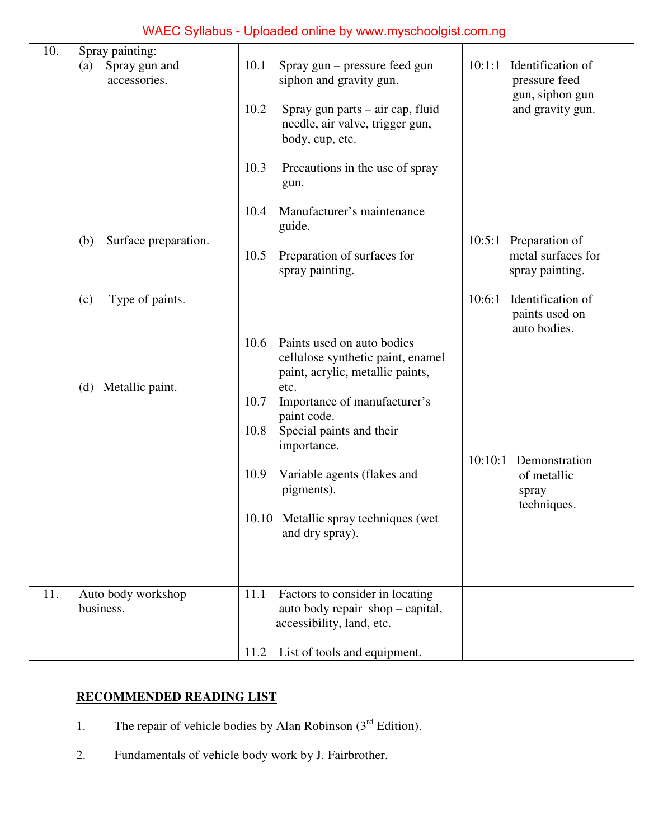| 10. | Spray painting:<br>Spray gun and<br>(a) | 10.1         | Spray gun – pressure feed gun                                                                       | 10:1:1  | Identification of                                              |
|-----|-----------------------------------------|--------------|-----------------------------------------------------------------------------------------------------|---------|----------------------------------------------------------------|
|     | accessories.                            |              | siphon and gravity gun.                                                                             |         | pressure feed<br>gun, siphon gun                               |
|     |                                         | 10.2         | Spray gun parts – air cap, fluid<br>needle, air valve, trigger gun,<br>body, cup, etc.              |         | and gravity gun.                                               |
|     |                                         | 10.3         | Precautions in the use of spray<br>gun.                                                             |         |                                                                |
|     |                                         | 10.4         | Manufacturer's maintenance<br>guide.                                                                |         |                                                                |
|     | Surface preparation.<br>(b)             | 10.5         | Preparation of surfaces for<br>spray painting.                                                      |         | 10:5:1 Preparation of<br>metal surfaces for<br>spray painting. |
|     | Type of paints.<br>(c)                  |              |                                                                                                     | 10:6:1  | Identification of<br>paints used on<br>auto bodies.            |
|     |                                         | 10.6         | Paints used on auto bodies<br>cellulose synthetic paint, enamel<br>paint, acrylic, metallic paints, |         |                                                                |
|     | (d) Metallic paint.                     | 10.7<br>10.8 | etc.<br>Importance of manufacturer's<br>paint code.<br>Special paints and their<br>importance.      |         |                                                                |
|     |                                         | 10.9         | Variable agents (flakes and<br>pigments).                                                           | 10:10:1 | Demonstration<br>of metallic<br>spray<br>techniques.           |
|     |                                         |              | 10.10 Metallic spray techniques (wet<br>and dry spray).                                             |         |                                                                |
|     |                                         |              |                                                                                                     |         |                                                                |
| 11. | Auto body workshop<br>business.         | 11.1         | Factors to consider in locating<br>auto body repair shop - capital,<br>accessibility, land, etc.    |         |                                                                |
|     |                                         | 11.2         | List of tools and equipment.                                                                        |         |                                                                |

## **RECOMMENDED READING LIST**

- 1. The repair of vehicle bodies by Alan Robinson ( $3<sup>rd</sup>$  Edition).
- 2. Fundamentals of vehicle body work by J. Fairbrother.